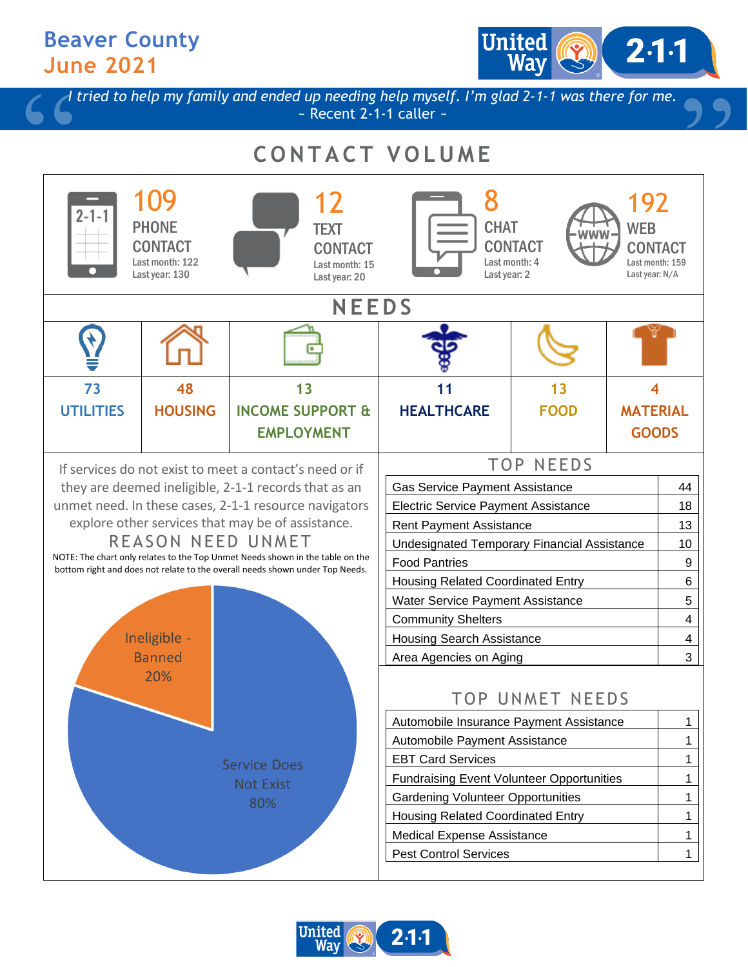### **Beaver County June 2021**

United  $2·1·1$ 

*I tried to help my family and ended up needing help myself. I'm glad 2-1-1 was there for me.*  $\sim$  Recent 2-1-1 caller  $\sim$ 

# **C O N T A C T V O L U M E**